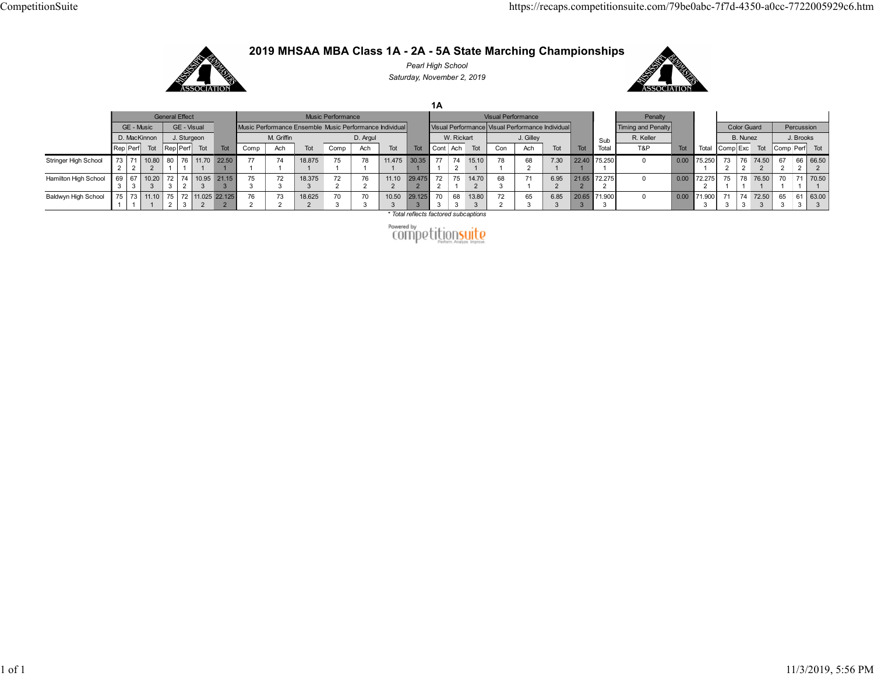## 2019 MHSAA MBA Class 1A - 2A - 5A State Marching Championships CompetitionSuite<br>
2019 MHSAA MBA Class 1A - 2A - 5A State Marching Championships<br>
Pearl High School Saturday. November 2, 2019



Pearl High School Saturday, November 2, 2019



EXECUTE TO A PROPERTY THE SEAL OF A SEAL OF A SEAL OF A SEAL OF A SEAL OF A SEAL OF A SEAL OF A SEAL OF A SEAL OF A SEAL OF A SEAL OF A SEAL OF A SEAL OF A SEAL OF A SEAL OF A SEAL OF A SEAL OF A SEAL OF A SEAL OF A SEAL Mac Comera The Comera The Comera The Comera The Comera The Comera The Comera The Comera The Comera The Comera The Comera The Comera The Comera The Comera The Comera The Comera The Comera The Comera The Comera The Comera T EVERT PERFORM AND A Class 1A - 2A - 5A State Marching Championships<br>
2019 MHSAA MBA Class 1A - 2A - 5A State Marching Championships<br>
Saturday, Movember 2, 2019<br>
The material of the Computer of the Computer of the Computer 2 2 71 | 10.80 | 80 | 76 | 11.70 | 22.50 | 77 | 74 | 18.875 | 75 | 78 | 11.475 | 2 | 1 | 1 | 1 | 1 | 1 | 1 | 1 | 1 | 1 | 1 | 1 | 1 | 1 | 1 | 1 | 1 | 1 1 | 1 | 1 | 1 | 1 | 1 | 1 | 1 | 1 | 1 | 1 | 1 | 1 | 1 | 1 | 1 22.50 | 77 | 74 | 18.875 | 75 | 78 | 11.475 | 30.35 | 77 | 74 15.10 | 78 | 68 | 7.30 1 1 1 1 1 1 1 1 1 1 1 1 1 | 1 | 1 | 1 | 1 | 1 | 1 | 1 | 1 | 1 | 1 | 1 | 1 | 1 | 1 | 2 | 1 18.875 75 78 11.475 30.35 77 74 15.10 78 1 | 1 | 1 | 1 | 1 | 1 | 2 | 1 | 1 1 | 1 | 1 | 1 | 1 | 2 | 1 | 1 | 2 1 | 1 | 1 | 1 | 2 | 1 | 1 | 2 | 1 11.475 30.35 77 74 15.10 78 68 7.30 22.40 7 1 1 1 2 1 1 2 1 1 2 1 1 30.35 77 74 15.10 78 68 7.30 22.40 75.250 1 | 1 | 2 | 1 | 1 | 2 | 1 | 1 | 1 | 1 | 77 | 74 15.10 | 78 | 68 | 7.30 | 22.40 | 75.250 | 0 1 | 2 | 1 | 1 | 2 | 1 | 1 | 1 | 1 | 2 1 1 2 1 1 1 1 1 15.10 78 68 7.30 22.40 75.250 0 0 1 78 68 7.30 22.40 75.250 0 0.00 75 1 68 | 7.30 | 22.40 | 75.250 | 0.00 | 75.250 | 73 2 1 1 1 1 1 1 2 7.30 22.40 75.250 0 0.00 75.250 73 76 74.50 67 66 66.50<br>1 1 1 1 1 Penalty<br>
Penalty<br>
Penalty<br>
Ma Penalty<br>
Tot Total Color Guard<br>
Color Guard<br>
B. Nunez<br>
Docor Guard<br>
Docor Color Guard<br>
Docor Color Guard<br>
Docor Color Guard<br>
Docor Total Comp Exc Tot Comp Perf Tot<br>
Total Comp Exc Tot Comp P 74.50 67 66 66.50 2 2 2 2 67 66 66.50 2 2 2 2 66 66.50  $2 \mid 2 \mid$ 66.50 and High School 11 and Class 1A - 2A - 5A State Marching Championships<br>
2019 MHSAA MBA Class 1A - 2A - 5A State Marching Championships<br>
Solution High School<br>
Contributes the extension of the contribute of the contribution 3 3 67 | 10.20 | 72 | 74 | 10.95 | 21.15 | 75 | 72 | 18.375 | 72 | 76 | 11.10 | 3 3 2 3 3 3 3 3 3 3 4 3 | 2 | 3 | 3 | 3 | 3 | 3 | 2 | 2 2 3 3 3 3 3 3 2 2 3 3 3 3 3 3 2 2 2 21.15 75 72 18.375 72 76 11.10 29.475 3 3 3 3 3 2 2 2 75 | 72 | 18.375 | 72 | 76 | 11.10 | 29.475 | 72 | 75 | 14.70 | 68 | 71 | 6.95 | 3 3 3 2 2 2 2 2 2 3 3 2 2 2 2 2 2 1 2 18.375 72 76 11.10 29.475 72 75 14.70 68 3 2 2 2 2 2 2 1 2 3 2 2 2 2 2 1 2 3 1 2 2 2 2 1 2 3 1 2 11.10 29.475 72 75 14.70 68 71 6.95 21.65 7 2 2 2 1 2 3 1 2 2 29.475 72 75 14.70 68 71 6.95 21.65 72.275 2 2 1 2 3 1 2 2 2 72 | 75 14.70 | 68 | 71 | 6.95 | 21.65 | 72.275 | 0 2 | 1 2 | 3 | 1 | 2 | 2 | 2 | 1 2 3 1 2 2 2 2 14.70 68 71 6.95 21.65 72.275 0 0 2 3 1 2 2 2 2 1 68 71 6.95 21.65 72.275 0 0.00 72 3 1 2 2 2 2 1 71 | 6.95 | 21.65 | 72.275 | 0 | 0.00 | 72.275 | 75 1 2 2 2 2 2 2 1 6.95 21.65 72.275 0 0 0.00 72.275 75 78 76 2 2 2 2 2 2 2 1 1 21.65 72.275 0 0 0.00 72.275 75 78 76.50 70 2 72.275 0 0.00 72.275 75 78 76.50 70 71 2 2 2 1 1 1 1 1 1 Exam/79be0abc-7f7d-4350-a0cc-7722005929c6.htm<br>
Penalty<br>
MaPenalty<br>
MaPenalty<br>
Total Complexe Total Complement Total<br>
0.000 75.250 73 76 76.50 70 71 70.50<br>
0.000 72.275 75 78 76.50 70 71 70.50<br>
2.1 1 1 1 1 1 1 1<br>
0.000 71. 2 | 1 | 1 | 1 | 1 | 1 | 1 | 75 | 78 | 76.50 | | 70 | 71 | 70.50 | 1 78 76.50 70 71 70.50 1 76.50 70 71 70.50 1 | 1 | 1 | 1 | 70 71 70.50 1 71 70.50 1 70.50  $\frac{2019 MHzAA MBA Class 1A - 2A - 5A State Marching Champlonsality  
\n
$$
\frac{6000 \text{ m} \cdot \text{F} \cdot \text{F} \cdot \text{F}}{10000 \text{ m} \cdot \text{F} \cdot \text{F} \cdot \text{F} \cdot \text{F}}}{\frac{6000 \text{ m} \cdot \text{F} \cdot \text{F} \cdot \text{F} \cdot \text{F} \cdot \text{F}}{10000 \text{ m} \cdot \text{F} \cdot \text{F} \cdot \text{F} \cdot \text{F} \cdot \text{F}}}}{\frac{6000 \text{ m} \cdot
$$$ 1 | 1 | 1 | 2 | 3 | 2 | 2 | 2 | 2 | 2 73 | 11.10 | 75 | 72 | 11.025 | 22.125 | 76 | 73 | 18.625 | 70 | 70 | 10.50 ¦ 1 | 1 | 2 | 3 | 2 | 2 | 2 | 2 | 2 | 1 2 3 2 2 2 2 2 2 3 2 3 2 2 2 2 2 2 3 3 3 2 2 2 2 2 2 3 3 2 2 2 2 2 3 3 3 22.125 76 73 18.625 70 70 10.50 29.125 2 2 2 2 3 3 3 3 76 | 73 | 18.625 | 70 | 70 | 10.50 29.125 70 | 68 13.8 2 2 2 3 3 3 3 3 3 2 2 3 3 3 3 3 3 3 3 18.625 70 70 10.50 29.125 70 68 13.80 72 2 3 3 3 3 3 3 3 2 70 | 70 | 10.50 | 29.125 | 70 | 68 | 13.80 | 72 | 65 3 3 3 3 3 3 3 4 2 3 70 | 10.50 29.125 70 | 68 13.80 | 72 | 65 | 6.85 3 3 3 3 3 3 4 5 4 5 4 6 7 8 4 7 8 4 7 8 4 7 8 4 7 8 4 7 8 4 7 8 4 7 8 4 7 8 4 7 8 4 7 8 4 7 8 4 7 8 4 7 8 4 7 8 4 7 8 4 7 8 4 7 8 4 7 8 4 7 8 4 7 8 4 7 8 4 7 8 4 7 8 4 7 8 4 7 8 4 7 8 4 7 8 4 7 8 4 7 8 4 7 8 4 7 8 4 7 8 4 7 10.50 29.125 70 68 13.80 72 65 6.85 20.65 7 3 29.125 70 68 13.80 72 65 6.85 20.65 71.900 3 3 3 3 2 3 3 3 3 70 68 13.80 72 65 6.85 20.65 71.900 3 3 3 2 3 3 3 3 4 68 13.80 72 65 6.85 20.65 71.900 0 3 3 2 3 3 3 3 3 13.80 72 65 6.85 20.65 71.900 0 0 3 2 3 3 3 3 4 72 65 6.85 20.65 71.900 0 0.00 71 2 3 3 3 3 3 4 65 | 6.85 | 20.65 | 71.900 | 0.00 | 71.900 | 71 3 3 3 3 3 3 3 6.85 20.65 71.900 0 0 0.00 71.900 71 74 72 3 3 3 3 3 3 3 4 20.65 71.900 0 0.00 71.900 71 74 72.50 65 3 3 3 3 3 3 4 71.900 0 0.00 71.900 71 74 72.50 65 61 3 3 3 3 3 3 3 3 3 Com/79be0abc-7f7d-4350-a0cc-7722005929c6.htm<br>
Maximum<br>
Maximum<br>
Maximum<br>
Maximum<br>
Tot Tot Color Guard<br>
Tot Tot Complexe Tot Complement<br>
Tot 0.000 75.250 73 76 74.50 67 9 71 70.50<br>
0 0.000 72.275 75 78 76.50 70 71 70.50<br>
0 3 71 | 74 | 72.50 | 65 | 61 | 63.00 | 3 3 3 3 3 3 3 4 74 72.50 65 61 63.00 3 3 3 3 3 3 4 72.50 65 61 63.00  $3 \mid 3 \mid 3 \mid 3$ 65 61 63.00 3 61 63.00 3 63.00  $3 \parallel$ 

\* Total reflects factored subcaptions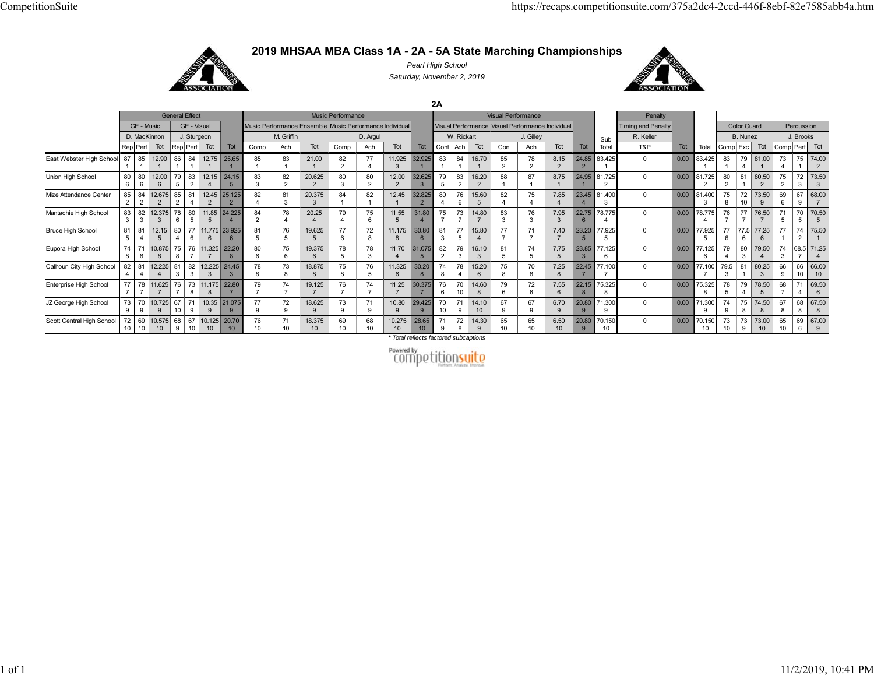

**2019 MHSAA MBA Class 1A - 2A - 5A State Marching Championships**

*Pearl High School Saturday, November 2, 2019*

**2A**



General Effect **Music Performance** Music Performance **Visual Performance** Visual Performance Sub Total**Penalty** TotalGE - Music GE - Visual Music Performance Ensemble Music Performance Individual Visual Performance | Visual Performance Individual Timing and Penalty Color Guard Percussion D. MacKinnon J J. Sturgeon M. Griffin J. D. Argul M. Rickart J. Gilley J. Gilley J. R. Keller J. B. Nunez J. J. Brooks Rep|Perf| Tot |Rep|Perf| Tot Tot | Comp | Ach | Tot | Comp | Ach | Tot | Cont | Ach | Tot | Tot | Tot | Total Tot | Tot | Tot | Tot | Tot | Comp|Exc | Tot | Comp|Perf| Tot East Webster High School 87 185 12.90 1 1 86 1 84 12.75 25.65 11 1 85 183 121.00 1 82 2 77 411.925 3 32.925 1 83 184 116.70 1 85 2 78 28.15 2 24.85 2 83.425 1 0 0.00 83.425 183 179 4 81.00 1 73 4 75 74.00 1 2 Union High School  $\begin{array}{c} 80 \\ 6 \end{array}$ 80 612.00 6 79 5 83 12.15 24.15 2 4 5 83 382 220.625280 380 212.00 2 32.625379 583 216.20 2 88 187 18.75 124.95 181.72520 0.00 81.725 2 80 281 180.50 275 2 72 3 73.50 3 Mize Attendance Center  $\frac{85}{2}$ 84 12.675 2285 281 4 12.45 2 25.125 2 82 481 320.375 384 182 112.45 132.825 280 476 615.60 582 475 47.85 423.45 481.400 30 0.00 81.400 375 872 1073.50 969 667 968.00 7Mantachie High School 3 82 3 12.375 3 78 6 80 11.85 24.225 5 5 4 84 278 420.25 4 79 475 6 11.55 5 31.80 4 75 773 714.80 7 83 376 37.95 3 22.75 6 78.775 4 0 0.00 78.775 476 777 776.50 7 71 5 70 5 70.50 5 Bruce High School 5 81 4 12.15 5 80 4 77 11.775 23.925 6 6 6 81 576 519.625 5 77 6 72 8 11.175 8 30.80 6 81 3 77 5 15.80 4 77 771 77.40 7 23.20 5 77.925 5 0 0.00 77.925 5 77 6 77.5 6 77.25 6 77 1 74 75.50 2 1 Eupora High School  $\begin{bmatrix} 74 \\ 8 \end{bmatrix}$ 71 810.875 8 75 876 11.325 22.20 77880 675 619.375678 578 311.70 431.075 582 279 316.10 3 81 574 57.75 5 23.85 3 $77.125$ 60 0.00 77.125 679 480 379.50 474 368.5 71.25 74Calhoun City High School  $\begin{array}{c} 82 \\ 4 \end{array}$ 81 12.225 4 4 81 3 82 12.225 24.45 3 3 3 78 873 818.875 8 75 876 5 11.325 6 30.20 8 74 8 78 4 15.20 6 75 8 70 8 7.25 8 22.45 7 77.100 7 0 0.00 77.100 7 79.5 3 81 1 80.25 3 66 9 66 66.00 10 10 Enterprise High School 77<br>7 78 11.625 7 7 76 7 73 11.175 22.80 8 8 7 79 774 719.125 7 76 774 711.25 7 30.375 7 76 6 70 10 14.60 8 79 6 72 6 7.55 6 22.15 8 75.325 8 0 0.00 75.325 8 78 5 79 4 78.50 5 68 7 71 4 69.50 6 JZ George High School 73 970 9 10.7259 67 10 7110.3521.075 9 9 9 77 972 918.6259 73 9 71 9 10.809 29.4259 70 10 71 9 14.10 10 67 9 67 96.70 9 20.80 9 71.3009 0 0.00 71.300 9 74 9 75 8 74.50 8 67 8 6867.50 8 8 Scott Central High School 1069 10.575 1010 68 96710.12520.70 10 10 1076 1071 1018.3751069 1068 1010.2751028.65 10719 72 814.30 965 1065 106.50 1020.80970.150 100 0.00 70.150 1073 1073 9 73.00 10 65 10 6967.00 6 9

*\* Total reflects factored subcaptions*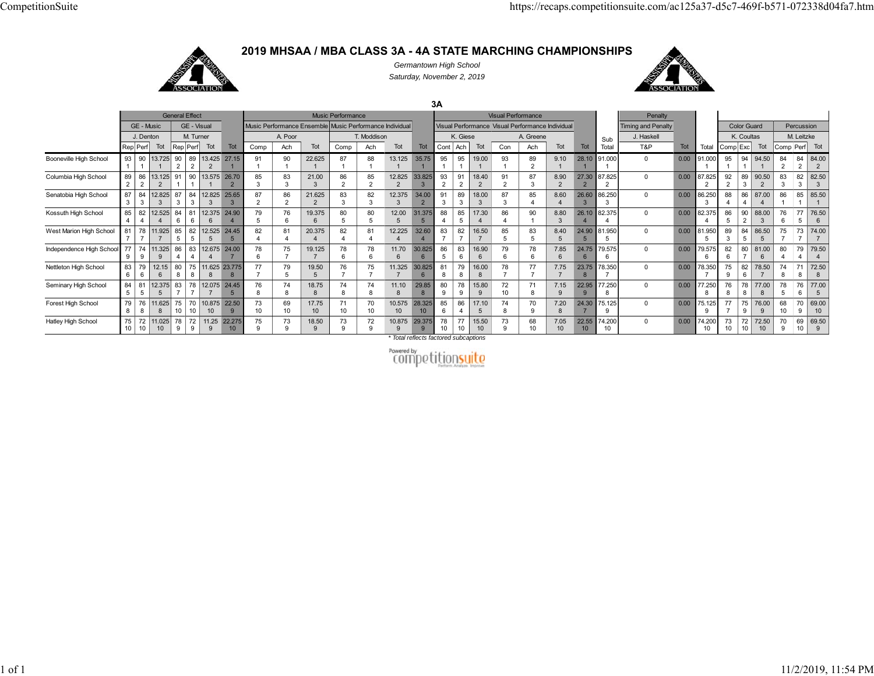## **2019 MHSAA / MBA CLASS 3A - 4A STATE MARCHING CHAMPIONSHIPS**



*Germantown High School Saturday, November 2, 2019*



**3A**General Effect **Music Performance** Music Performance **Visual Performance** Visual Performance Sub Total**Penalty** Total GE - Music GE - Visual Music Performance Ensemble Music Performance Individual Visual Performance Individual Performance Individual Timing and Penalty Color Guard Percussion J. Denton M. Turner **A. Poor T. Moddison A. Giese A. Greene A. Greene J. Haskell M. Leitzke**l K. Coultas M. Leitzke Rep|Perf| Tot |Rep|Perf| Tot Tot | Comp | Ach | Tot | Comp | Ach Tot | Cont |Ach | Tot | Con | Ach | Tot | Total | Tot | Tot | Tot | Comp|Cxc| Tot |Comp|Perf| Tot Booneville High School 93 190 13.725 1 1 90 2 89 13.425 27.15 2 2 1 91 190 122.625 187 188 1 13.125 1 35.75 195 195 1 19.00 1 93 189 2 9.10 1 28.10 1 91.000 1 0 0.00 91.000 195 194 194.50 1 84 2 84 84.00 2 2 Columbia High School 2 86 | 13.125| 91 2 2 1 90 |13.575 | 26.70 1 1 2 85 3 83 3 21.00 3 86 2 85 2 12.825 2 33.825 3 93 2 91 2 18.40 2 91 2 87 3 8.90 2 27.30 2 87.825 2 0 0.00 87.825 2 92 2 89 3 90.50 2 83 3 82.50 3 3 Senatobia High School 87 384 12.825 87 3 3 384 12.825 25.65 3 3387 286 221.625 283 382 312.375 334.00 291 389 318.00 387 385 48.60 426.60 386.25030 0.00 86.250 388 486 487.00 486 185 | 85.50<br>1 | 1 Kossuth High School  $\begin{array}{c} 85 \\ 4 \end{array}$ 82 12.525 8444 681 12.375 24.90 66479 576 619.375 680 580 512.00 531.375 588 485 517.30 486 490 18.80 326.10 482.375 40 0.00 82.375 486 590 288.00 376 677 576.50 6West Marion High School 81 778 7 11.925 7 85 5 82 12.525 24.45 5 5 5 82 481 420.375 4 82 481 4 12.225 4 32.60 4 83 7 82 7 16.50 7 85 5 83 5 8.40 5 24.90 5 81.950 5 0 0.00 81.950 5 89 3 84 5 86.50 5 75 7 73 7 74.00 7 Independence High School 77 9 74 11.325 86 9 9 4 83 12.675 24.00 4 4 7 78 6 75 7 19.125 7 78 6 78 6 11.70 6 30.825 6 86 5 83 6 16.90 6 79 6 78 6 7.85 6 24.75 6 79.575 6 0 0.00 79.575 6 82 6 80 781.00 6 80 4 79 4 79.50 4 Nettleton High School 83 679 612.15 807511.62523.775 6 8 8 8 877 779 519.50576 775 711.325 730.825681 879 816.00 8 78 777 77.75 723.75 8 78.35070 0.00 78.350 775 982 678.50 774 87172.50 88 Seminary High School 581 | 12.375 | 83 | 78 | 12.075 | 24.45 5 5 7 77576 874 818.75874 874 811.10 829.85 880 978 915.80 972 1071 87.15 922.95 977.25080 0.00 77.250 876 878 877.00 878 576 6 77.00 5 Forest High School 79 8 76 11.625 75 70 10.875 22.50 8 8 10 10 10 9 73 10 69 10 17.75 10 71 10 70 10 10.575 10 28.325 10 85 6 86 4 17.10 5 74 8 70 9 7.20 8 24.30 7 75.125 9 0 0.00 75.125 9 77 7 75 9 76.00 9 68 10 70 69.00 9 10 Hatley High School 10 72 10 11.025 10 78 9 72 11.25 22.275 9 9 10 75 9 73 9 18.50 9 73 9 72 9 10.875 9 29.375 9 78 10 77 10 15.50 10 73 9 68 10 7.05 10 22.55 10 74.200 10 0 0.00 74.200 10 73 10 72 10 72.50 10 70 9 69 69.50 10 9

*\* Total reflects factored subcaptions*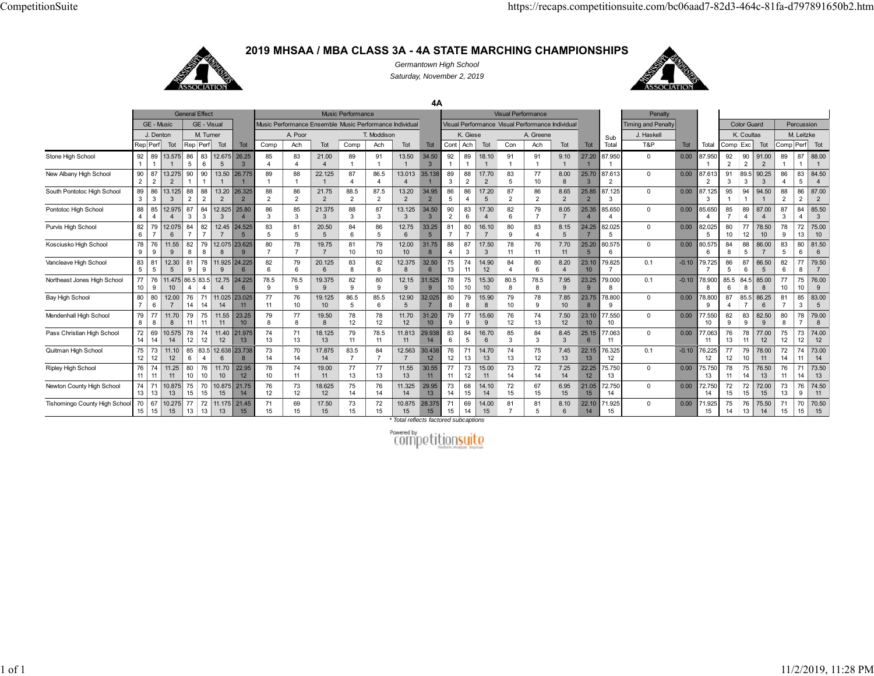

**2019 MHSAA / MBA CLASS 3A - 4A STATE MARCHING CHAMPIONSHIPS***Germantown High School*

*Saturday, November 2, 2019*



**4A**General Effect **Music Performance** Music Performance **Visual Performance** Visual Performance **Sub**  Total**Penalty Tota** GE - Music | GE - Visual | Music Performance Ensemble Music Performance Individual Visual Performance | Visual Performance | Visual Performance | Visual Performance Individual | Timing and Penalty | Color Guard | Percussio J. Denton | M. Turner | | A. Poor T. Moddison | | K. Giese | A. Greene | | <sub>Sub</sub> | J. Haskell | | K. Coultas | M. Leitzke Rep|Perf| Tot |Rep|Perf| Tot | Tot | Comp | Ach | Tot | Comp | Ach | Tot | Tot | Cont |Ach | Tot | Tot | Tot | Tot | Tot | Tot | Tot | Total Comp Exc | Tot | Comp|Perf| Tot Stone High School 92 13.575 5 12.675 26.25 21.00 13.50 34.50 18.10 9.10 27.20 87.950 0.00 87.950 91.00 88.00 New Albany High School 2 2 13.275 2 1 13.5026.775 1 22.125 86.5 13.013 35.138 3 217.70 8.00 25.70 3 87.613 0.00 87.613 3 89.5 3 90.25 3 4 5 84.50 South Pontotoc High School 89  $\overline{3}$ 13.125 13.20 26.325  $\frac{1}{2}$  21.7588.5 87.5 13.20 34.95 17.20 8.65 25.85 87.125 0.00 87.125 94.50 287.00 Pontotoc High School 88 12.975 4 3 3 12.825 25.80 3 21.375 13.125 34.50 17.30 8.05 25.35 85.650 0 0.00 85.650 87.00 85.50 3 Purvis High School 82 12.075 6 12.45 24.525 7 5 20.50 12.75 6 33.25 16.10 8.15 24.25 82.025 0.00 82.025 78.50 1375.00 Kosciusko High School 78 11.55 12.075 23.625 19.75 12.00 31.75 17.50 7.70 25.20 80.575 0.00 80.575 86.00 81.50 Vancleave High School 83 12.30 5 9 11.925 24.225 9 6 6 20.125 6 12.375 8 32.50 6 14.90 8.20 23.10 79.825 0.1 -0.10 79.725 86.50 5 6 79.50 7 Northeast Jones High School 9 11.475 86.5 83.5 4 4 12.75 24.225 4 6 78.5 9 76.5 9 19.375 9 12.15 9 31.525 9 15.30 80.5 8 78.5 8 7.95 9 23.25 9 79.000 8 0.1 -0.10 78.900 8 85.5 6 84.5 85.00 8 10 76.00 9 Bay High School 80  $\frac{1}{7}$  12.00 11.025 23.025 19.12586.5 85.5 12.9032.025 15.90 7.85 23.7578.800 $\alpha$  0.00 78.800 85.5 86.25 383.00Mendenhall High School 79 11.70 11 11.55 23.25 19.50 11.70 31.20 15.60 7.50 23.10 77.550 0.00 77.550 9 82.50 9 8 779.00Pass Christian High School 72 14 10.575 11.40 21.975 18.125 78.5 11.813 29.938 6 5 16.70 6 3 8.45 25.15 77.063 0.00 77.063 77.00 74.00 Quitman High School 75 11.10 85 83.5 12.638 23.738 17.87583.5 12.56330.438 14.70 7.45 22.15 76.3250.1 -0.10 76.225 78.00 73.00 Ripley High School 76 11 11.25 10 11.70 22.95 12 19.00 11.55 30.55 15.00 7.25 22.25 75.750 0.00 75.750 76.50 73.50 Newton County High School 74 13 10.875 15 15 10.875 21.75 14 18.625 11.325 29.95 15 14.10 6.95 21.05 72.750 0.00 72.750 15 72.00 9 74.50 Tishomingo County High Schoo  $\frac{70}{15}$  15 10.275 13 13 11.175 21.45 17.50 10.875 28.375 1414.00 8.10 22.10 71.925 0.00 71.925 14 13 75.50 15 70.50

*\* Total reflects factored subcaptions*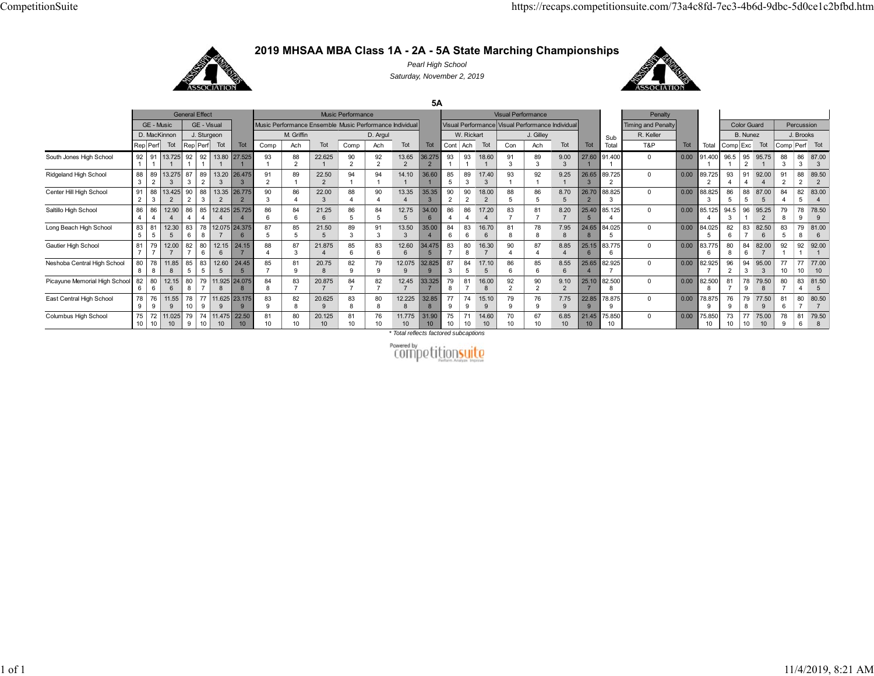

**2019 MHSAA MBA Class 1A - 2A - 5A State Marching Championships**

*Pearl High School Saturday, November 2, 2019*



**5A** General Effect **Music Performance** Music Performance **Visual Performance** Visual Performance Sub Total**Penalty** TotalGE - Music GE - Visual Music Performance Ensemble Music Performance Individual Visual Performance Visual Performance Individual Timing and Penalty Color Guard Percussion D. MacKinnon J. Sturgeon **M. Griffin M. Griffin D. Argul M. Rickart** J. Gilley J. Gilley R. Keller **R. Keller M. B. Nunez J. Brooks** Rep|Perf| Tot |Rep|Perf Tot | Tot | Comp | Ach | Tot | Comp | Ach Tot | Tot | Cont |Ach| Tot | Tot | Tot | Tot | Tot | Tot | Tot | Tot | Tot | Tot | Comp|Exc | Tot | Comp|Perf| Tot South Jones High School 92 191 13.725 1192 192 13.80 1127.525193188 222.625190 292 213.65 36.275 2293 193 118.60191 389 39.00 327.60 191.40010 0.00 91.400 196.5 95 2195.75 188 386 387.00 3Ridgeland High School 88 3 89 13.275 2 3 87 3 89 13.20 2 3 26.475 3 91 289 122.50 2 94 194 114.10 36.60 1 1 85 5 89 317.40 3 93 192 19.25 126.65 3 89.725 2 0 0.00 89.725 2 93 4 91 492.00 4 91 2 88 2 89.50 2 Center Hill High School 91 2 8813.425 3 2 90 2 88 13.35 3 2 26.775 2 90 3 86 422.003 88 490 413.35 4 35.35 3 90 2 90 2 18.00 2 88 5 86 5 8.70 5 26.70 2 88.825 3 0 0.00 88.825 3 86 5 88 587.00 5 84 4 82 5 83.00 4 Saltillo High School 86 486 12.90 4 4 86 4 85 12.825 25.725 4 4 486 684 621.25 686 584 512.75 534.00 686 486 417.20 4 83 781 78.20 725.40 5 85.125 40 0.00 85.125 494.5 3 96 195.25 2 79 878 9 78.50 9 Long Beach High School 83 5 81 12.30 5 5 83 6 78 12.075 24.375 87687 585 521.50589 391313.50 3 35.00 4 84 6 83 616.70681 8 78 87.95 824.65 8 84.02550 0.00 84.025 5 82 6 83 782.50 6 83 5 79 8 81.00 6 Gautier High School 81 77912.0082 7 7 780 12.15 6 6 24.15788 487 321.875485 683 612.60 34.475 6 583 780 816.30 790 487 48.85 425.15 6 83.77560 0.00 83.775 680 8 84 682.00 792 192 192.00 1Neshoba Central High School 80 878 11.858 8 85 583 12.60 5 524.45 585 781 920.75 882 979 9 12.075 32.825 99 87 3 84 5 17.10 5 86 6 85 6 8.55 6 25.65 4 82.925 70 0.00 82.925 796 2 94 395.00 3 77 10 77 10 77.00 10 Picayune Memorial High School 82 6 80 12.15 80 6 6 8 7911.925 7 8 24.075 8 84 8 83 7 20.8757 84 7 82 7 12.457 33.325 7 79 8 81 716.00 8 92 2 90 2 9.10 2 25.10 7 82.500 8 0 0.00 82.500 8 81 7 78 979.50 8 80 7 83 4 81.50 5 East Central High School 78 9 76 911.55 9 78 10 77 11.625 99 23.175 983 9 82 820.625 9 83 8 80 812.225 832.85 8 77 974 915.10 9 79 9 76 9 7.75 922.85 9 78.875 90 0.00 78.875 9 76 9 79 877.50 9 81 6 80 7 80.50 7 Columbus High School 75 10 72 10 11.025 10 79 9 74 11.475 22.50 10 10 10 81 10 80 10 20.125 10 81 10 76 10 11.775 10 31.90 10 75 10 71 10 14.60 10 70 10 67 10 6.85 10 21.45 10 75.850 10 0 0.00 75.850 10 73 10 77 10 75.00 10 78 9 81 6 79.50 8

*\* Total reflects factored subcaptions*